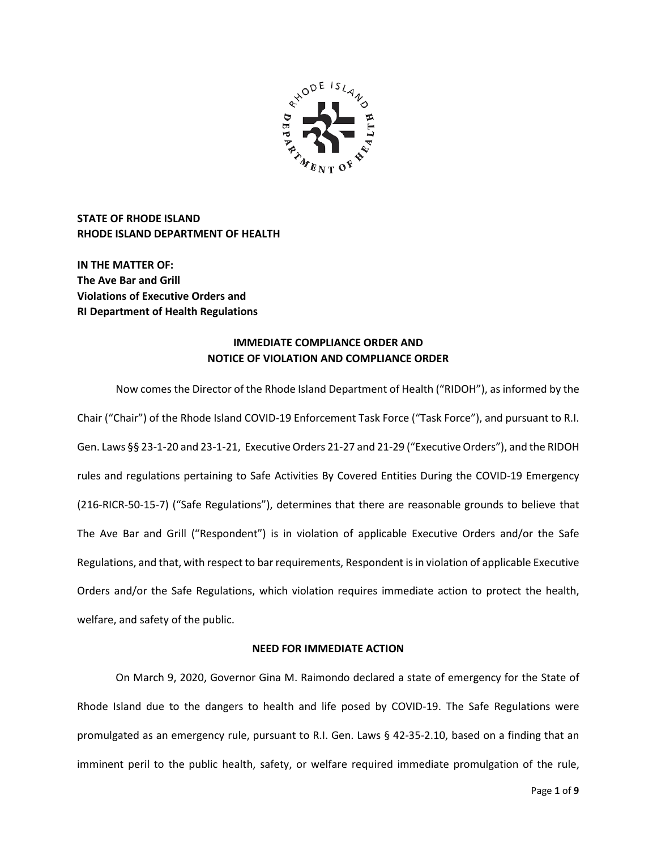

**STATE OF RHODE ISLAND RHODE ISLAND DEPARTMENT OF HEALTH**

**IN THE MATTER OF: The Ave Bar and Grill Violations of Executive Orders and RI Department of Health Regulations**

# **IMMEDIATE COMPLIANCE ORDER AND NOTICE OF VIOLATION AND COMPLIANCE ORDER**

Now comes the Director of the Rhode Island Department of Health ("RIDOH"), as informed by the Chair ("Chair") of the Rhode Island COVID-19 Enforcement Task Force ("Task Force"), and pursuant to R.I. Gen. Laws §§ 23-1-20 and 23-1-21, Executive Orders 21-27 and 21-29 ("Executive Orders"), and the RIDOH rules and regulations pertaining to Safe Activities By Covered Entities During the COVID-19 Emergency (216-RICR-50-15-7) ("Safe Regulations"), determines that there are reasonable grounds to believe that The Ave Bar and Grill ("Respondent") is in violation of applicable Executive Orders and/or the Safe Regulations, and that, with respect to bar requirements, Respondent is in violation of applicable Executive Orders and/or the Safe Regulations, which violation requires immediate action to protect the health, welfare, and safety of the public.

## **NEED FOR IMMEDIATE ACTION**

On March 9, 2020, Governor Gina M. Raimondo declared a state of emergency for the State of Rhode Island due to the dangers to health and life posed by COVID-19. The Safe Regulations were promulgated as an emergency rule, pursuant to R.I. Gen. Laws § 42-35-2.10, based on a finding that an imminent peril to the public health, safety, or welfare required immediate promulgation of the rule,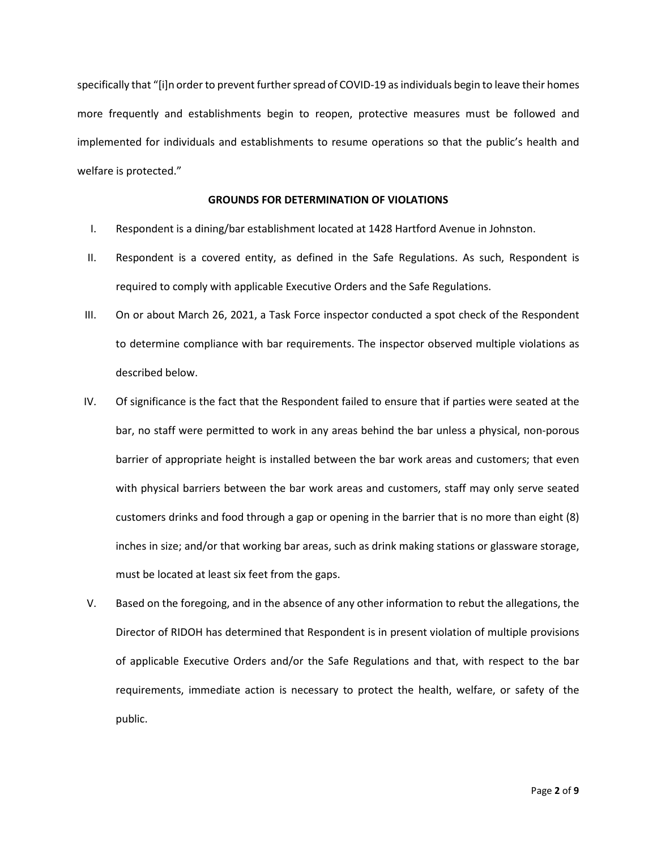specifically that "[i]n order to prevent further spread of COVID-19 as individuals begin to leave their homes more frequently and establishments begin to reopen, protective measures must be followed and implemented for individuals and establishments to resume operations so that the public's health and welfare is protected."

### **GROUNDS FOR DETERMINATION OF VIOLATIONS**

- I. Respondent is a dining/bar establishment located at 1428 Hartford Avenue in Johnston.
- II. Respondent is a covered entity, as defined in the Safe Regulations. As such, Respondent is required to comply with applicable Executive Orders and the Safe Regulations.
- III. On or about March 26, 2021, a Task Force inspector conducted a spot check of the Respondent to determine compliance with bar requirements. The inspector observed multiple violations as described below.
- IV. Of significance is the fact that the Respondent failed to ensure that if parties were seated at the bar, no staff were permitted to work in any areas behind the bar unless a physical, non-porous barrier of appropriate height is installed between the bar work areas and customers; that even with physical barriers between the bar work areas and customers, staff may only serve seated customers drinks and food through a gap or opening in the barrier that is no more than eight (8) inches in size; and/or that working bar areas, such as drink making stations or glassware storage, must be located at least six feet from the gaps.
- V. Based on the foregoing, and in the absence of any other information to rebut the allegations, the Director of RIDOH has determined that Respondent is in present violation of multiple provisions of applicable Executive Orders and/or the Safe Regulations and that, with respect to the bar requirements, immediate action is necessary to protect the health, welfare, or safety of the public.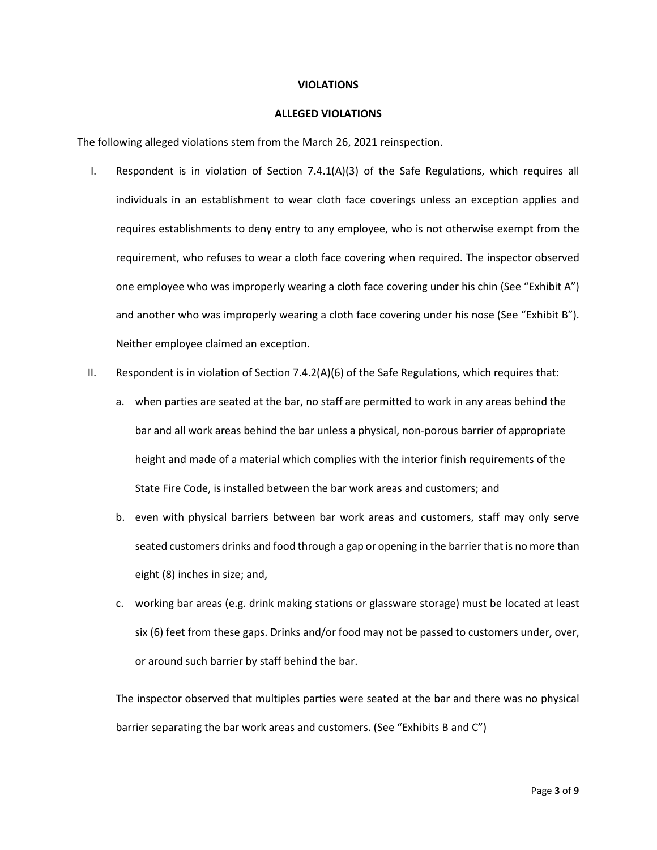#### **VIOLATIONS**

#### **ALLEGED VIOLATIONS**

The following alleged violations stem from the March 26, 2021 reinspection.

- I. Respondent is in violation of Section 7.4.1(A)(3) of the Safe Regulations, which requires all individuals in an establishment to wear cloth face coverings unless an exception applies and requires establishments to deny entry to any employee, who is not otherwise exempt from the requirement, who refuses to wear a cloth face covering when required. The inspector observed one employee who was improperly wearing a cloth face covering under his chin (See "Exhibit A") and another who was improperly wearing a cloth face covering under his nose (See "Exhibit B"). Neither employee claimed an exception.
- II. Respondent is in violation of Section 7.4.2(A)(6) of the Safe Regulations, which requires that:
	- a. when parties are seated at the bar, no staff are permitted to work in any areas behind the bar and all work areas behind the bar unless a physical, non-porous barrier of appropriate height and made of a material which complies with the interior finish requirements of the State Fire Code, is installed between the bar work areas and customers; and
	- b. even with physical barriers between bar work areas and customers, staff may only serve seated customers drinks and food through a gap or opening in the barrier that is no more than eight (8) inches in size; and,
	- c. working bar areas (e.g. drink making stations or glassware storage) must be located at least six (6) feet from these gaps. Drinks and/or food may not be passed to customers under, over, or around such barrier by staff behind the bar.

The inspector observed that multiples parties were seated at the bar and there was no physical barrier separating the bar work areas and customers. (See "Exhibits B and C")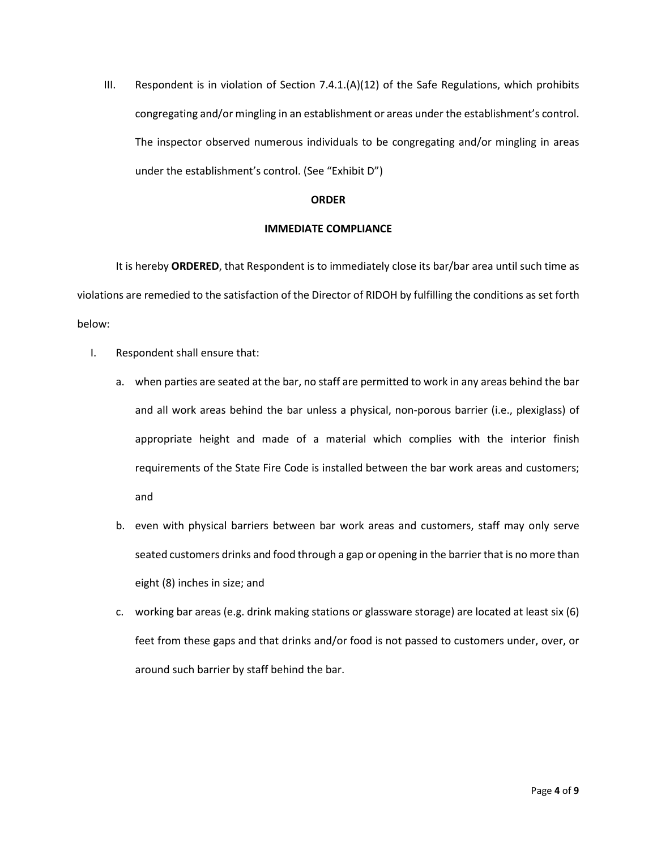III. Respondent is in violation of Section 7.4.1.(A)(12) of the Safe Regulations, which prohibits congregating and/or mingling in an establishment or areas under the establishment's control. The inspector observed numerous individuals to be congregating and/or mingling in areas under the establishment's control. (See "Exhibit D")

### **ORDER**

### **IMMEDIATE COMPLIANCE**

It is hereby **ORDERED**, that Respondent is to immediately close its bar/bar area until such time as violations are remedied to the satisfaction of the Director of RIDOH by fulfilling the conditions as set forth below:

- I. Respondent shall ensure that:
	- a. when parties are seated at the bar, no staff are permitted to work in any areas behind the bar and all work areas behind the bar unless a physical, non-porous barrier (i.e., plexiglass) of appropriate height and made of a material which complies with the interior finish requirements of the State Fire Code is installed between the bar work areas and customers; and
	- b. even with physical barriers between bar work areas and customers, staff may only serve seated customers drinks and food through a gap or opening in the barrier that is no more than eight (8) inches in size; and
	- c. working bar areas (e.g. drink making stations or glassware storage) are located at least six (6) feet from these gaps and that drinks and/or food is not passed to customers under, over, or around such barrier by staff behind the bar.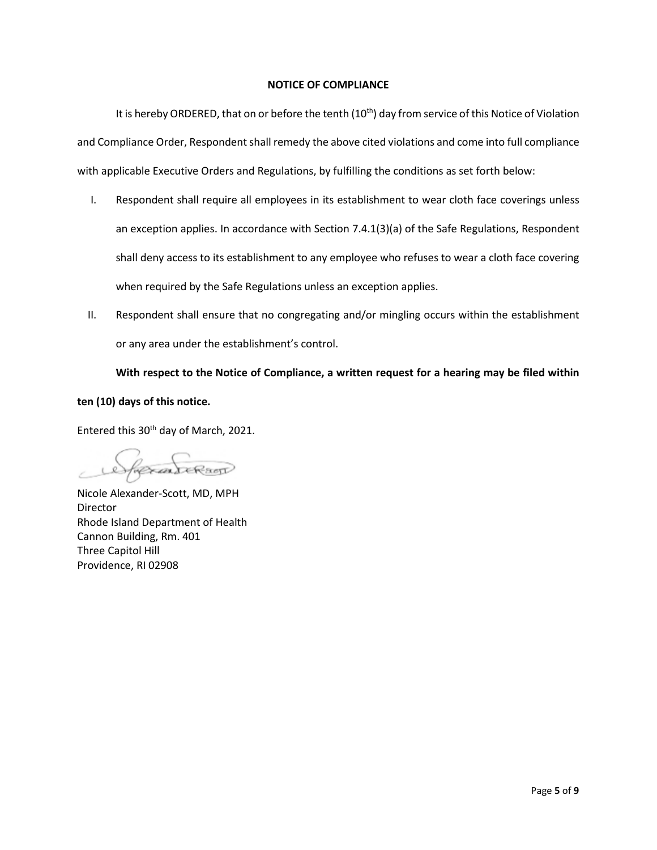### **NOTICE OF COMPLIANCE**

It is hereby ORDERED, that on or before the tenth (10<sup>th</sup>) day from service of this Notice of Violation and Compliance Order, Respondent shall remedy the above cited violations and come into full compliance with applicable Executive Orders and Regulations, by fulfilling the conditions as set forth below:

- I. Respondent shall require all employees in its establishment to wear cloth face coverings unless an exception applies. In accordance with Section 7.4.1(3)(a) of the Safe Regulations, Respondent shall deny access to its establishment to any employee who refuses to wear a cloth face covering when required by the Safe Regulations unless an exception applies.
- II. Respondent shall ensure that no congregating and/or mingling occurs within the establishment or any area under the establishment's control.

**With respect to the Notice of Compliance, a written request for a hearing may be filed within** 

## **ten (10) days of this notice.**

Entered this 30th day of March, 2021.

CARLERSOT

Nicole Alexander-Scott, MD, MPH Director Rhode Island Department of Health Cannon Building, Rm. 401 Three Capitol Hill Providence, RI 02908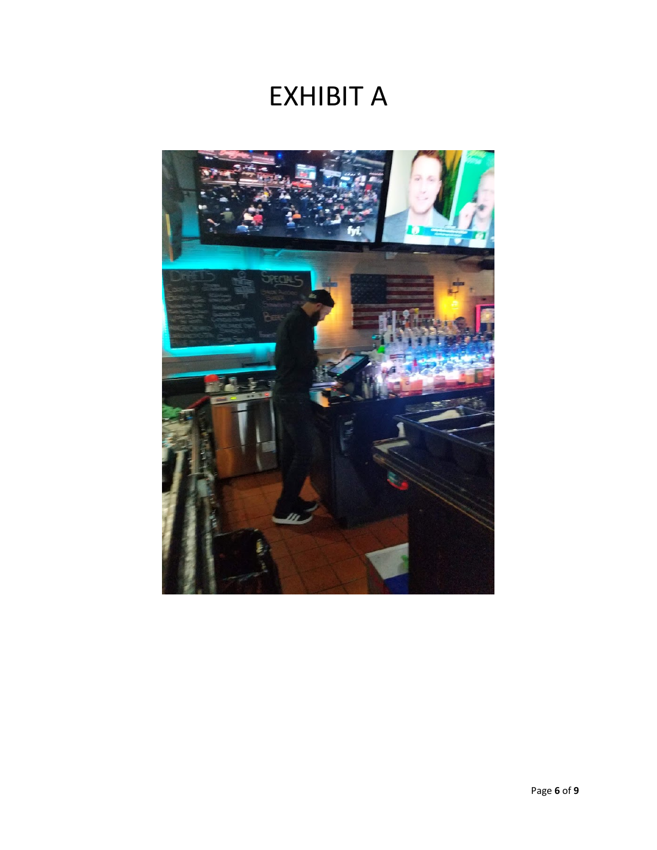# EXHIBIT A

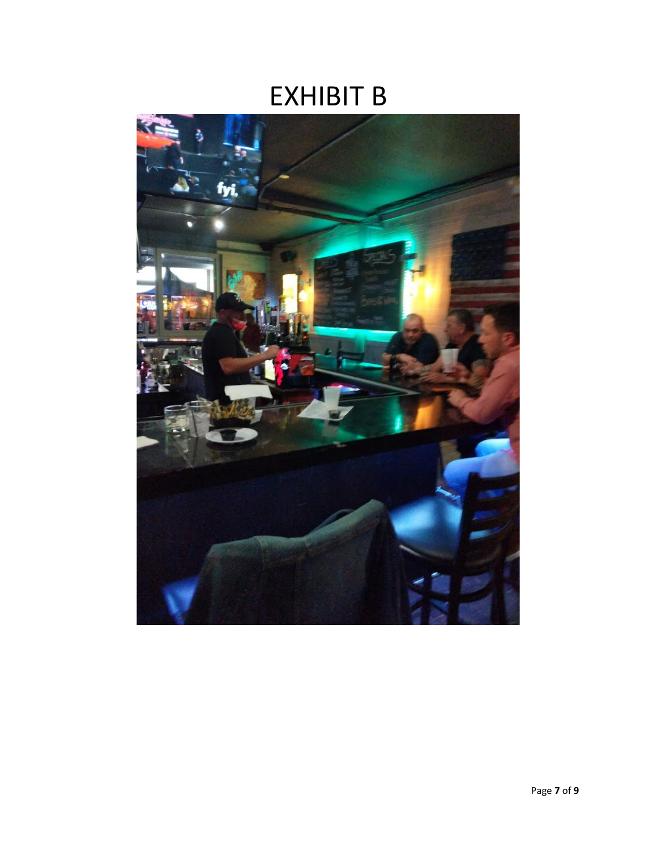# EXHIBIT B

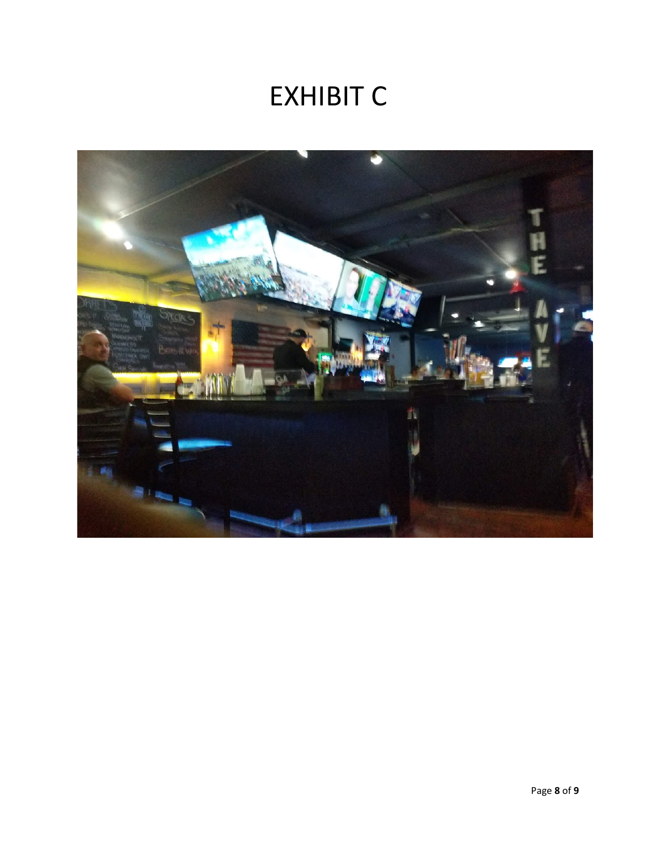# EXHIBIT C